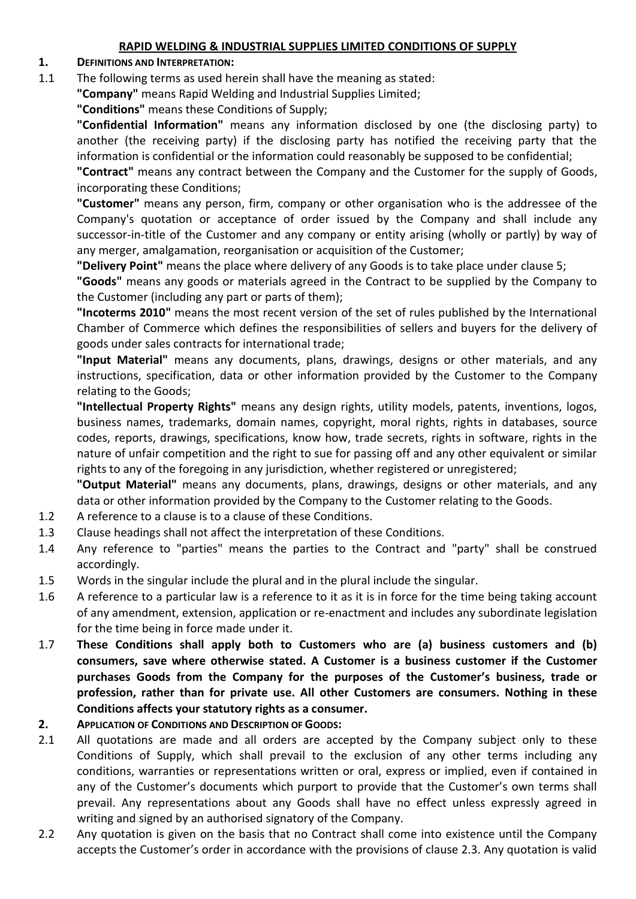#### **RAPID WELDING & INDUSTRIAL SUPPLIES LIMITED CONDITIONS OF SUPPLY**

#### **1. DEFINITIONS AND INTERPRETATION:**

1.1 The following terms as used herein shall have the meaning as stated:

**"Company"** means Rapid Welding and Industrial Supplies Limited;

#### **"Conditions"** means these Conditions of Supply;

**"Confidential Information"** means any information disclosed by one (the disclosing party) to another (the receiving party) if the disclosing party has notified the receiving party that the information is confidential or the information could reasonably be supposed to be confidential;

**"Contract"** means any contract between the Company and the Customer for the supply of Goods, incorporating these Conditions;

**"Customer"** means any person, firm, company or other organisation who is the addressee of the Company's quotation or acceptance of order issued by the Company and shall include any successor-in-title of the Customer and any company or entity arising (wholly or partly) by way of any merger, amalgamation, reorganisation or acquisition of the Customer;

**"Delivery Point"** means the place where delivery of any Goods is to take place under clause 5;

**"Goods"** means any goods or materials agreed in the Contract to be supplied by the Company to the Customer (including any part or parts of them);

**"Incoterms 2010"** means the most recent version of the set of rules published by the International Chamber of Commerce which defines the responsibilities of sellers and buyers for the delivery of goods under sales contracts for international trade;

**"Input Material"** means any documents, plans, drawings, designs or other materials, and any instructions, specification, data or other information provided by the Customer to the Company relating to the Goods;

**"Intellectual Property Rights"** means any design rights, utility models, patents, inventions, logos, business names, trademarks, domain names, copyright, moral rights, rights in databases, source codes, reports, drawings, specifications, know how, trade secrets, rights in software, rights in the nature of unfair competition and the right to sue for passing off and any other equivalent or similar rights to any of the foregoing in any jurisdiction, whether registered or unregistered;

**"Output Material"** means any documents, plans, drawings, designs or other materials, and any data or other information provided by the Company to the Customer relating to the Goods.

- 1.2 A reference to a clause is to a clause of these Conditions.
- 1.3 Clause headings shall not affect the interpretation of these Conditions.
- 1.4 Any reference to "parties" means the parties to the Contract and "party" shall be construed accordingly.
- 1.5 Words in the singular include the plural and in the plural include the singular.
- 1.6 A reference to a particular law is a reference to it as it is in force for the time being taking account of any amendment, extension, application or re-enactment and includes any subordinate legislation for the time being in force made under it.
- 1.7 **These Conditions shall apply both to Customers who are (a) business customers and (b) consumers, save where otherwise stated. A Customer is a business customer if the Customer purchases Goods from the Company for the purposes of the Customer's business, trade or profession, rather than for private use. All other Customers are consumers. Nothing in these Conditions affects your statutory rights as a consumer.**

#### **2. APPLICATION OF CONDITIONS AND DESCRIPTION OF GOODS:**

- 2.1 All quotations are made and all orders are accepted by the Company subject only to these Conditions of Supply, which shall prevail to the exclusion of any other terms including any conditions, warranties or representations written or oral, express or implied, even if contained in any of the Customer's documents which purport to provide that the Customer's own terms shall prevail. Any representations about any Goods shall have no effect unless expressly agreed in writing and signed by an authorised signatory of the Company.
- 2.2 Any quotation is given on the basis that no Contract shall come into existence until the Company accepts the Customer's order in accordance with the provisions of clause 2.3. Any quotation is valid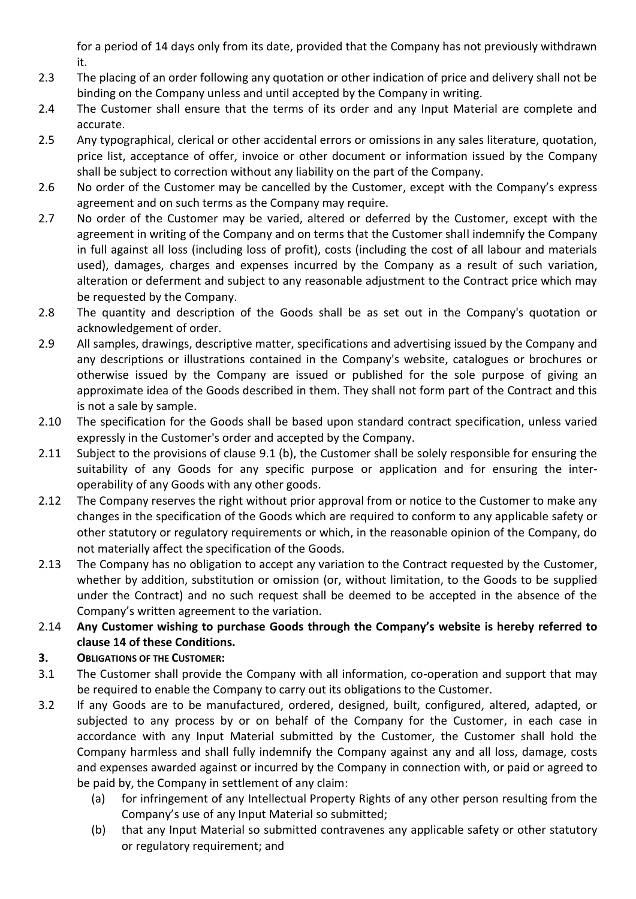for a period of 14 days only from its date, provided that the Company has not previously withdrawn it.

- 2.3 The placing of an order following any quotation or other indication of price and delivery shall not be binding on the Company unless and until accepted by the Company in writing.
- 2.4 The Customer shall ensure that the terms of its order and any Input Material are complete and accurate.
- 2.5 Any typographical, clerical or other accidental errors or omissions in any sales literature, quotation, price list, acceptance of offer, invoice or other document or information issued by the Company shall be subject to correction without any liability on the part of the Company.
- 2.6 No order of the Customer may be cancelled by the Customer, except with the Company's express agreement and on such terms as the Company may require.
- 2.7 No order of the Customer may be varied, altered or deferred by the Customer, except with the agreement in writing of the Company and on terms that the Customer shall indemnify the Company in full against all loss (including loss of profit), costs (including the cost of all labour and materials used), damages, charges and expenses incurred by the Company as a result of such variation, alteration or deferment and subject to any reasonable adjustment to the Contract price which may be requested by the Company.
- 2.8 The quantity and description of the Goods shall be as set out in the Company's quotation or acknowledgement of order.
- 2.9 All samples, drawings, descriptive matter, specifications and advertising issued by the Company and any descriptions or illustrations contained in the Company's website, catalogues or brochures or otherwise issued by the Company are issued or published for the sole purpose of giving an approximate idea of the Goods described in them. They shall not form part of the Contract and this is not a sale by sample.
- 2.10 The specification for the Goods shall be based upon standard contract specification, unless varied expressly in the Customer's order and accepted by the Company.
- 2.11 Subject to the provisions of clause 9.1 (b), the Customer shall be solely responsible for ensuring the suitability of any Goods for any specific purpose or application and for ensuring the interoperability of any Goods with any other goods.
- 2.12 The Company reserves the right without prior approval from or notice to the Customer to make any changes in the specification of the Goods which are required to conform to any applicable safety or other statutory or regulatory requirements or which, in the reasonable opinion of the Company, do not materially affect the specification of the Goods.
- 2.13 The Company has no obligation to accept any variation to the Contract requested by the Customer, whether by addition, substitution or omission (or, without limitation, to the Goods to be supplied under the Contract) and no such request shall be deemed to be accepted in the absence of the Company's written agreement to the variation.
- 2.14 **Any Customer wishing to purchase Goods through the Company's website is hereby referred to clause 14 of these Conditions.**
- **3. OBLIGATIONS OF THE CUSTOMER:**
- 3.1 The Customer shall provide the Company with all information, co-operation and support that may be required to enable the Company to carry out its obligations to the Customer.
- 3.2 If any Goods are to be manufactured, ordered, designed, built, configured, altered, adapted, or subjected to any process by or on behalf of the Company for the Customer, in each case in accordance with any Input Material submitted by the Customer, the Customer shall hold the Company harmless and shall fully indemnify the Company against any and all loss, damage, costs and expenses awarded against or incurred by the Company in connection with, or paid or agreed to be paid by, the Company in settlement of any claim:
	- (a) for infringement of any Intellectual Property Rights of any other person resulting from the Company's use of any Input Material so submitted;
	- (b) that any Input Material so submitted contravenes any applicable safety or other statutory or regulatory requirement; and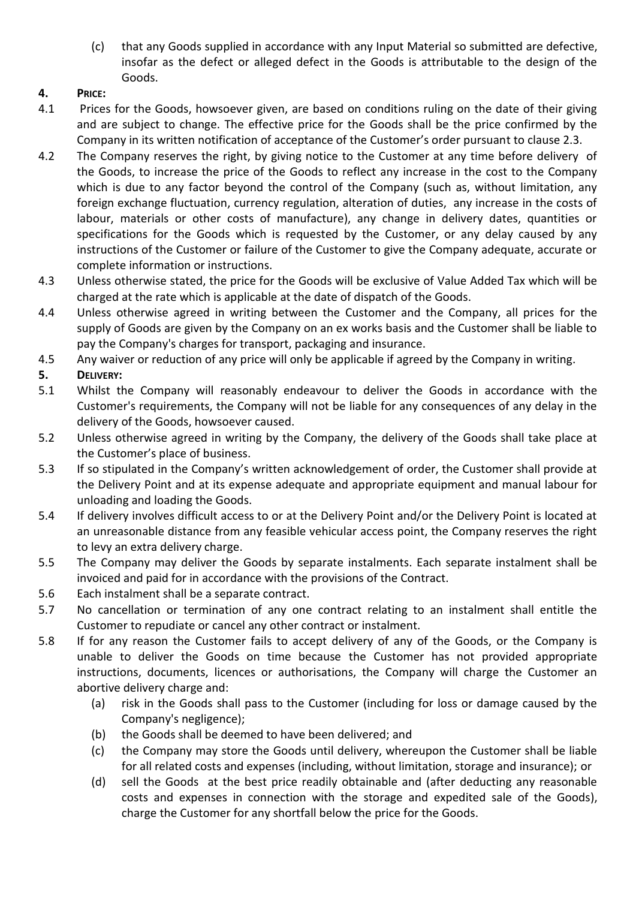(c) that any Goods supplied in accordance with any Input Material so submitted are defective, insofar as the defect or alleged defect in the Goods is attributable to the design of the Goods.

## **4. PRICE:**

- 4.1 Prices for the Goods, howsoever given, are based on conditions ruling on the date of their giving and are subject to change. The effective price for the Goods shall be the price confirmed by the Company in its written notification of acceptance of the Customer's order pursuant to clause 2.3.
- 4.2 The Company reserves the right, by giving notice to the Customer at any time before delivery of the Goods, to increase the price of the Goods to reflect any increase in the cost to the Company which is due to any factor beyond the control of the Company (such as, without limitation, any foreign exchange fluctuation, currency regulation, alteration of duties, any increase in the costs of labour, materials or other costs of manufacture), any change in delivery dates, quantities or specifications for the Goods which is requested by the Customer, or any delay caused by any instructions of the Customer or failure of the Customer to give the Company adequate, accurate or complete information or instructions.
- 4.3 Unless otherwise stated, the price for the Goods will be exclusive of Value Added Tax which will be charged at the rate which is applicable at the date of dispatch of the Goods.
- 4.4 Unless otherwise agreed in writing between the Customer and the Company, all prices for the supply of Goods are given by the Company on an ex works basis and the Customer shall be liable to pay the Company's charges for transport, packaging and insurance.
- 4.5 Any waiver or reduction of any price will only be applicable if agreed by the Company in writing.

# **5. DELIVERY:**

- 5.1 Whilst the Company will reasonably endeavour to deliver the Goods in accordance with the Customer's requirements, the Company will not be liable for any consequences of any delay in the delivery of the Goods, howsoever caused.
- 5.2 Unless otherwise agreed in writing by the Company, the delivery of the Goods shall take place at the Customer's place of business.
- 5.3 If so stipulated in the Company's written acknowledgement of order, the Customer shall provide at the Delivery Point and at its expense adequate and appropriate equipment and manual labour for unloading and loading the Goods.
- 5.4 If delivery involves difficult access to or at the Delivery Point and/or the Delivery Point is located at an unreasonable distance from any feasible vehicular access point, the Company reserves the right to levy an extra delivery charge.
- 5.5 The Company may deliver the Goods by separate instalments. Each separate instalment shall be invoiced and paid for in accordance with the provisions of the Contract.
- 5.6 Each instalment shall be a separate contract.
- 5.7 No cancellation or termination of any one contract relating to an instalment shall entitle the Customer to repudiate or cancel any other contract or instalment.
- 5.8 If for any reason the Customer fails to accept delivery of any of the Goods, or the Company is unable to deliver the Goods on time because the Customer has not provided appropriate instructions, documents, licences or authorisations, the Company will charge the Customer an abortive delivery charge and:
	- (a) risk in the Goods shall pass to the Customer (including for loss or damage caused by the Company's negligence);
	- (b) the Goods shall be deemed to have been delivered; and
	- (c) the Company may store the Goods until delivery, whereupon the Customer shall be liable for all related costs and expenses (including, without limitation, storage and insurance); or
	- (d) sell the Goods at the best price readily obtainable and (after deducting any reasonable costs and expenses in connection with the storage and expedited sale of the Goods), charge the Customer for any shortfall below the price for the Goods.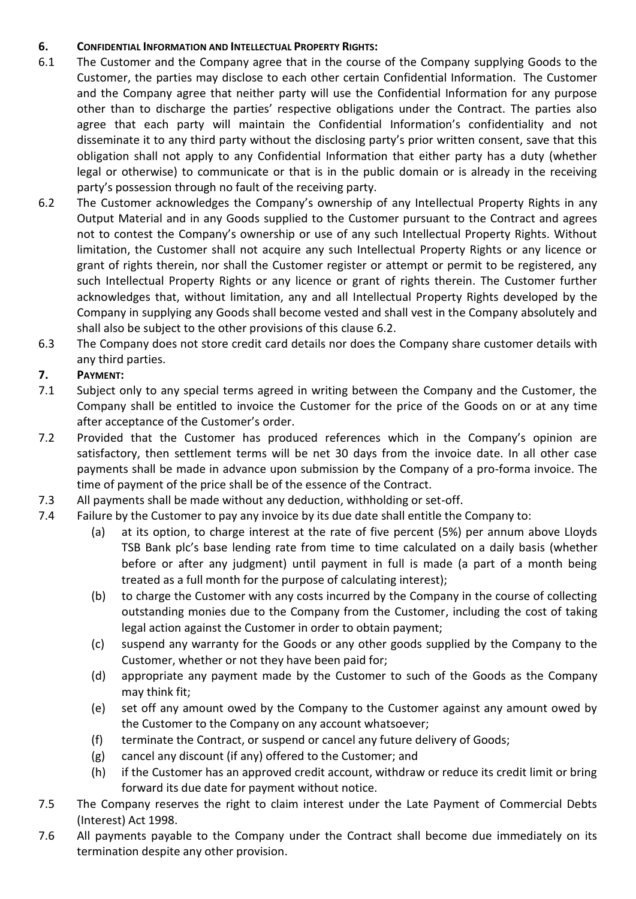#### **6. CONFIDENTIAL INFORMATION AND INTELLECTUAL PROPERTY RIGHTS:**

- 6.1 The Customer and the Company agree that in the course of the Company supplying Goods to the Customer, the parties may disclose to each other certain Confidential Information. The Customer and the Company agree that neither party will use the Confidential Information for any purpose other than to discharge the parties' respective obligations under the Contract. The parties also agree that each party will maintain the Confidential Information's confidentiality and not disseminate it to any third party without the disclosing party's prior written consent, save that this obligation shall not apply to any Confidential Information that either party has a duty (whether legal or otherwise) to communicate or that is in the public domain or is already in the receiving party's possession through no fault of the receiving party.
- 6.2 The Customer acknowledges the Company's ownership of any Intellectual Property Rights in any Output Material and in any Goods supplied to the Customer pursuant to the Contract and agrees not to contest the Company's ownership or use of any such Intellectual Property Rights. Without limitation, the Customer shall not acquire any such Intellectual Property Rights or any licence or grant of rights therein, nor shall the Customer register or attempt or permit to be registered, any such Intellectual Property Rights or any licence or grant of rights therein. The Customer further acknowledges that, without limitation, any and all Intellectual Property Rights developed by the Company in supplying any Goods shall become vested and shall vest in the Company absolutely and shall also be subject to the other provisions of this clause 6.2.
- 6.3 The Company does not store credit card details nor does the Company share customer details with any third parties.

# **7. PAYMENT:**

- 7.1 Subject only to any special terms agreed in writing between the Company and the Customer, the Company shall be entitled to invoice the Customer for the price of the Goods on or at any time after acceptance of the Customer's order.
- 7.2 Provided that the Customer has produced references which in the Company's opinion are satisfactory, then settlement terms will be net 30 days from the invoice date. In all other case payments shall be made in advance upon submission by the Company of a pro-forma invoice. The time of payment of the price shall be of the essence of the Contract.
- 7.3 All payments shall be made without any deduction, withholding or set-off.
- 7.4 Failure by the Customer to pay any invoice by its due date shall entitle the Company to:
	- (a) at its option, to charge interest at the rate of five percent (5%) per annum above Lloyds TSB Bank plc's base lending rate from time to time calculated on a daily basis (whether before or after any judgment) until payment in full is made (a part of a month being treated as a full month for the purpose of calculating interest);
	- (b) to charge the Customer with any costs incurred by the Company in the course of collecting outstanding monies due to the Company from the Customer, including the cost of taking legal action against the Customer in order to obtain payment;
	- (c) suspend any warranty for the Goods or any other goods supplied by the Company to the Customer, whether or not they have been paid for;
	- (d) appropriate any payment made by the Customer to such of the Goods as the Company may think fit;
	- (e) set off any amount owed by the Company to the Customer against any amount owed by the Customer to the Company on any account whatsoever;
	- (f) terminate the Contract, or suspend or cancel any future delivery of Goods;
	- (g) cancel any discount (if any) offered to the Customer; and
	- (h) if the Customer has an approved credit account, withdraw or reduce its credit limit or bring forward its due date for payment without notice.
- 7.5 The Company reserves the right to claim interest under the Late Payment of Commercial Debts (Interest) Act 1998.
- 7.6 All payments payable to the Company under the Contract shall become due immediately on its termination despite any other provision.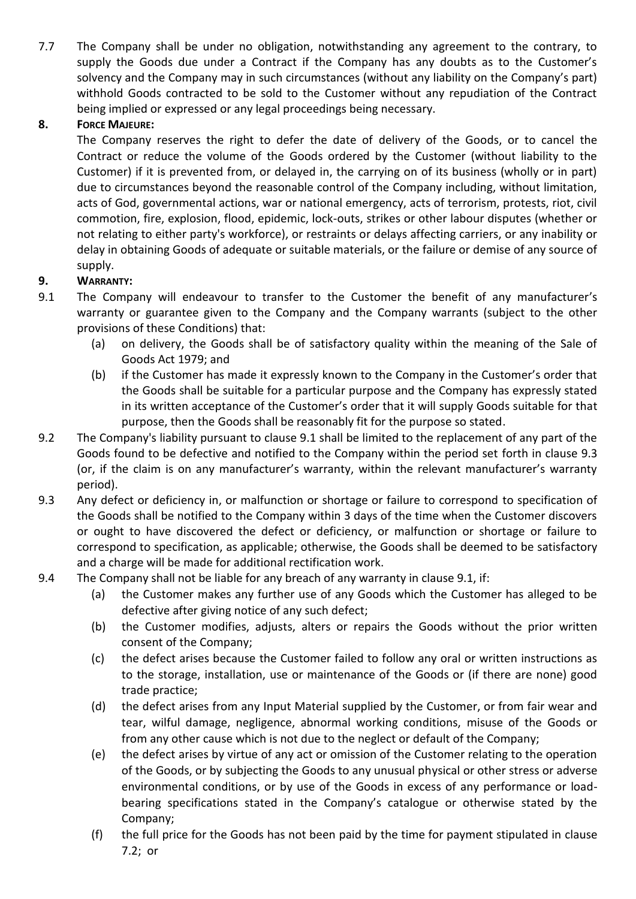7.7 The Company shall be under no obligation, notwithstanding any agreement to the contrary, to supply the Goods due under a Contract if the Company has any doubts as to the Customer's solvency and the Company may in such circumstances (without any liability on the Company's part) withhold Goods contracted to be sold to the Customer without any repudiation of the Contract being implied or expressed or any legal proceedings being necessary.

#### **8. FORCE MAJEURE:**

The Company reserves the right to defer the date of delivery of the Goods, or to cancel the Contract or reduce the volume of the Goods ordered by the Customer (without liability to the Customer) if it is prevented from, or delayed in, the carrying on of its business (wholly or in part) due to circumstances beyond the reasonable control of the Company including, without limitation, acts of God, governmental actions, war or national emergency, acts of terrorism, protests, riot, civil commotion, fire, explosion, flood, epidemic, lock-outs, strikes or other labour disputes (whether or not relating to either party's workforce), or restraints or delays affecting carriers, or any inability or delay in obtaining Goods of adequate or suitable materials, or the failure or demise of any source of supply.

## **9. WARRANTY:**

- 9.1 The Company will endeavour to transfer to the Customer the benefit of any manufacturer's warranty or guarantee given to the Company and the Company warrants (subject to the other provisions of these Conditions) that:
	- (a) on delivery, the Goods shall be of satisfactory quality within the meaning of the Sale of Goods Act 1979; and
	- (b) if the Customer has made it expressly known to the Company in the Customer's order that the Goods shall be suitable for a particular purpose and the Company has expressly stated in its written acceptance of the Customer's order that it will supply Goods suitable for that purpose, then the Goods shall be reasonably fit for the purpose so stated.
- 9.2 The Company's liability pursuant to clause 9.1 shall be limited to the replacement of any part of the Goods found to be defective and notified to the Company within the period set forth in clause 9.3 (or, if the claim is on any manufacturer's warranty, within the relevant manufacturer's warranty period).
- 9.3 Any defect or deficiency in, or malfunction or shortage or failure to correspond to specification of the Goods shall be notified to the Company within 3 days of the time when the Customer discovers or ought to have discovered the defect or deficiency, or malfunction or shortage or failure to correspond to specification, as applicable; otherwise, the Goods shall be deemed to be satisfactory and a charge will be made for additional rectification work.
- 9.4 The Company shall not be liable for any breach of any warranty in clause 9.1, if:
	- (a) the Customer makes any further use of any Goods which the Customer has alleged to be defective after giving notice of any such defect;
	- (b) the Customer modifies, adjusts, alters or repairs the Goods without the prior written consent of the Company;
	- (c) the defect arises because the Customer failed to follow any oral or written instructions as to the storage, installation, use or maintenance of the Goods or (if there are none) good trade practice;
	- (d) the defect arises from any Input Material supplied by the Customer, or from fair wear and tear, wilful damage, negligence, abnormal working conditions, misuse of the Goods or from any other cause which is not due to the neglect or default of the Company;
	- (e) the defect arises by virtue of any act or omission of the Customer relating to the operation of the Goods, or by subjecting the Goods to any unusual physical or other stress or adverse environmental conditions, or by use of the Goods in excess of any performance or loadbearing specifications stated in the Company's catalogue or otherwise stated by the Company;
	- (f) the full price for the Goods has not been paid by the time for payment stipulated in clause 7.2; or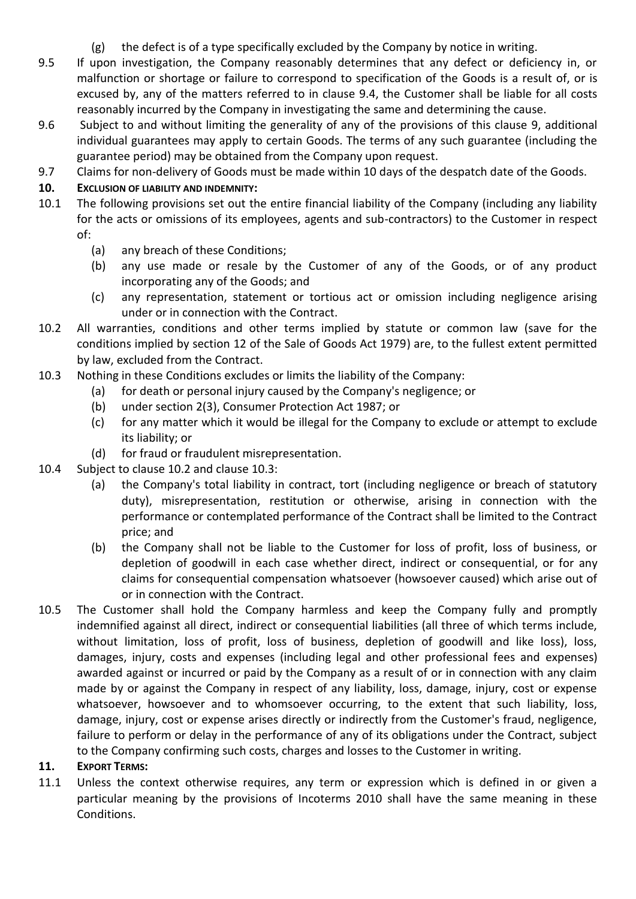- (g) the defect is of a type specifically excluded by the Company by notice in writing.
- 9.5 If upon investigation, the Company reasonably determines that any defect or deficiency in, or malfunction or shortage or failure to correspond to specification of the Goods is a result of, or is excused by, any of the matters referred to in clause 9.4, the Customer shall be liable for all costs reasonably incurred by the Company in investigating the same and determining the cause.
- 9.6 Subject to and without limiting the generality of any of the provisions of this clause 9, additional individual guarantees may apply to certain Goods. The terms of any such guarantee (including the guarantee period) may be obtained from the Company upon request.
- 9.7 Claims for non-delivery of Goods must be made within 10 days of the despatch date of the Goods.

## **10. EXCLUSION OF LIABILITY AND INDEMNITY:**

- 10.1 The following provisions set out the entire financial liability of the Company (including any liability for the acts or omissions of its employees, agents and sub-contractors) to the Customer in respect of:
	- (a) any breach of these Conditions;
	- (b) any use made or resale by the Customer of any of the Goods, or of any product incorporating any of the Goods; and
	- (c) any representation, statement or tortious act or omission including negligence arising under or in connection with the Contract.
- <span id="page-5-0"></span>10.2 All warranties, conditions and other terms implied by statute or common law (save for the conditions implied by section 12 of the Sale of Goods Act 1979) are, to the fullest extent permitted by law, excluded from the Contract.
- <span id="page-5-1"></span>10.3 Nothing in these Conditions excludes or limits the liability of the Company:
	- (a) for death or personal injury caused by the Company's negligence; or
	- (b) under section 2(3), Consumer Protection Act 1987; or
	- (c) for any matter which it would be illegal for the Company to exclude or attempt to exclude its liability; or
	- (d) for fraud or fraudulent misrepresentation.
- 10.4 Subject to clause [10.2](#page-5-0) and clause [10.3:](#page-5-1)
	- (a) the Company's total liability in contract, tort (including negligence or breach of statutory duty), misrepresentation, restitution or otherwise, arising in connection with the performance or contemplated performance of the Contract shall be limited to the Contract price; and
	- (b) the Company shall not be liable to the Customer for loss of profit, loss of business, or depletion of goodwill in each case whether direct, indirect or consequential, or for any claims for consequential compensation whatsoever (howsoever caused) which arise out of or in connection with the Contract.
- 10.5 The Customer shall hold the Company harmless and keep the Company fully and promptly indemnified against all direct, indirect or consequential liabilities (all three of which terms include, without limitation, loss of profit, loss of business, depletion of goodwill and like loss), loss, damages, injury, costs and expenses (including legal and other professional fees and expenses) awarded against or incurred or paid by the Company as a result of or in connection with any claim made by or against the Company in respect of any liability, loss, damage, injury, cost or expense whatsoever, howsoever and to whomsoever occurring, to the extent that such liability, loss, damage, injury, cost or expense arises directly or indirectly from the Customer's fraud, negligence, failure to perform or delay in the performance of any of its obligations under the Contract, subject to the Company confirming such costs, charges and losses to the Customer in writing.

## **11. EXPORT TERMS:**

11.1 Unless the context otherwise requires, any term or expression which is defined in or given a particular meaning by the provisions of Incoterms 2010 shall have the same meaning in these Conditions.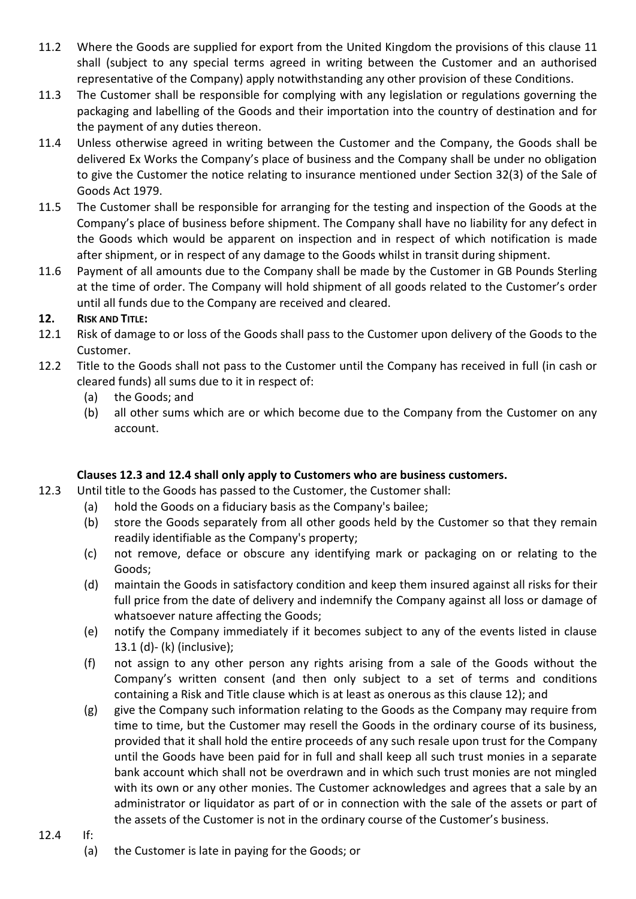- 11.2 Where the Goods are supplied for export from the United Kingdom the provisions of this clause 11 shall (subject to any special terms agreed in writing between the Customer and an authorised representative of the Company) apply notwithstanding any other provision of these Conditions.
- 11.3 The Customer shall be responsible for complying with any legislation or regulations governing the packaging and labelling of the Goods and their importation into the country of destination and for the payment of any duties thereon.
- 11.4 Unless otherwise agreed in writing between the Customer and the Company, the Goods shall be delivered Ex Works the Company's place of business and the Company shall be under no obligation to give the Customer the notice relating to insurance mentioned under Section 32(3) of the Sale of Goods Act 1979.
- 11.5 The Customer shall be responsible for arranging for the testing and inspection of the Goods at the Company's place of business before shipment. The Company shall have no liability for any defect in the Goods which would be apparent on inspection and in respect of which notification is made after shipment, or in respect of any damage to the Goods whilst in transit during shipment.
- 11.6 Payment of all amounts due to the Company shall be made by the Customer in GB Pounds Sterling at the time of order. The Company will hold shipment of all goods related to the Customer's order until all funds due to the Company are received and cleared.

## **12. RISK AND TITLE:**

- 12.1 Risk of damage to or loss of the Goods shall pass to the Customer upon delivery of the Goods to the Customer.
- 12.2 Title to the Goods shall not pass to the Customer until the Company has received in full (in cash or cleared funds) all sums due to it in respect of:
	- (a) the Goods; and
	- (b) all other sums which are or which become due to the Company from the Customer on any account.

## **Clauses 12.3 and 12.4 shall only apply to Customers who are business customers.**

- 12.3 Until title to the Goods has passed to the Customer, the Customer shall:
	- (a) hold the Goods on a fiduciary basis as the Company's bailee;
	- (b) store the Goods separately from all other goods held by the Customer so that they remain readily identifiable as the Company's property;
	- (c) not remove, deface or obscure any identifying mark or packaging on or relating to the Goods;
	- (d) maintain the Goods in satisfactory condition and keep them insured against all risks for their full price from the date of delivery and indemnify the Company against all loss or damage of whatsoever nature affecting the Goods;
	- (e) notify the Company immediately if it becomes subject to any of the events listed in clause 13.1 (d)- (k) (inclusive);
	- (f) not assign to any other person any rights arising from a sale of the Goods without the Company's written consent (and then only subject to a set of terms and conditions containing a Risk and Title clause which is at least as onerous as this clause 12); and
	- (g) give the Company such information relating to the Goods as the Company may require from time to time, but the Customer may resell the Goods in the ordinary course of its business, provided that it shall hold the entire proceeds of any such resale upon trust for the Company until the Goods have been paid for in full and shall keep all such trust monies in a separate bank account which shall not be overdrawn and in which such trust monies are not mingled with its own or any other monies. The Customer acknowledges and agrees that a sale by an administrator or liquidator as part of or in connection with the sale of the assets or part of the assets of the Customer is not in the ordinary course of the Customer's business.

#### 12.4 If:

(a) the Customer is late in paying for the Goods; or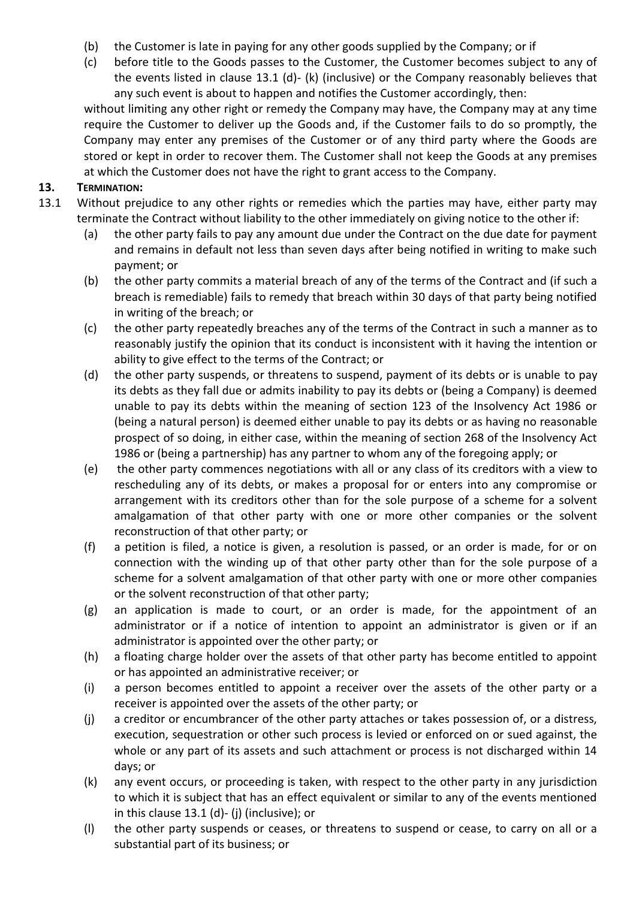- (b) the Customer is late in paying for any other goods supplied by the Company; or if
- (c) before title to the Goods passes to the Customer, the Customer becomes subject to any of the events listed in clause 13.1 (d)- (k) (inclusive) or the Company reasonably believes that any such event is about to happen and notifies the Customer accordingly, then:

without limiting any other right or remedy the Company may have, the Company may at any time require the Customer to deliver up the Goods and, if the Customer fails to do so promptly, the Company may enter any premises of the Customer or of any third party where the Goods are stored or kept in order to recover them. The Customer shall not keep the Goods at any premises at which the Customer does not have the right to grant access to the Company.

#### **13. TERMINATION:**

- 13.1 Without prejudice to any other rights or remedies which the parties may have, either party may terminate the Contract without liability to the other immediately on giving notice to the other if:
	- (a) the other party fails to pay any amount due under the Contract on the due date for payment and remains in default not less than seven days after being notified in writing to make such payment; or
	- (b) the other party commits a material breach of any of the terms of the Contract and (if such a breach is remediable) fails to remedy that breach within 30 days of that party being notified in writing of the breach; or
	- (c) the other party repeatedly breaches any of the terms of the Contract in such a manner as to reasonably justify the opinion that its conduct is inconsistent with it having the intention or ability to give effect to the terms of the Contract; or
	- (d) the other party suspends, or threatens to suspend, payment of its debts or is unable to pay its debts as they fall due or admits inability to pay its debts or (being a Company) is deemed unable to pay its debts within the meaning of section 123 of the Insolvency Act 1986 or (being a natural person) is deemed either unable to pay its debts or as having no reasonable prospect of so doing, in either case, within the meaning of section 268 of the Insolvency Act 1986 or (being a partnership) has any partner to whom any of the foregoing apply; or
	- (e) the other party commences negotiations with all or any class of its creditors with a view to rescheduling any of its debts, or makes a proposal for or enters into any compromise or arrangement with its creditors other than for the sole purpose of a scheme for a solvent amalgamation of that other party with one or more other companies or the solvent reconstruction of that other party; or
	- (f) a petition is filed, a notice is given, a resolution is passed, or an order is made, for or on connection with the winding up of that other party other than for the sole purpose of a scheme for a solvent amalgamation of that other party with one or more other companies or the solvent reconstruction of that other party;
	- (g) an application is made to court, or an order is made, for the appointment of an administrator or if a notice of intention to appoint an administrator is given or if an administrator is appointed over the other party; or
	- (h) a floating charge holder over the assets of that other party has become entitled to appoint or has appointed an administrative receiver; or
	- (i) a person becomes entitled to appoint a receiver over the assets of the other party or a receiver is appointed over the assets of the other party; or
	- (j) a creditor or encumbrancer of the other party attaches or takes possession of, or a distress, execution, sequestration or other such process is levied or enforced on or sued against, the whole or any part of its assets and such attachment or process is not discharged within 14 days; or
	- (k) any event occurs, or proceeding is taken, with respect to the other party in any jurisdiction to which it is subject that has an effect equivalent or similar to any of the events mentioned in this clause 13.1 (d)- (j) (inclusive); or
	- (l) the other party suspends or ceases, or threatens to suspend or cease, to carry on all or a substantial part of its business; or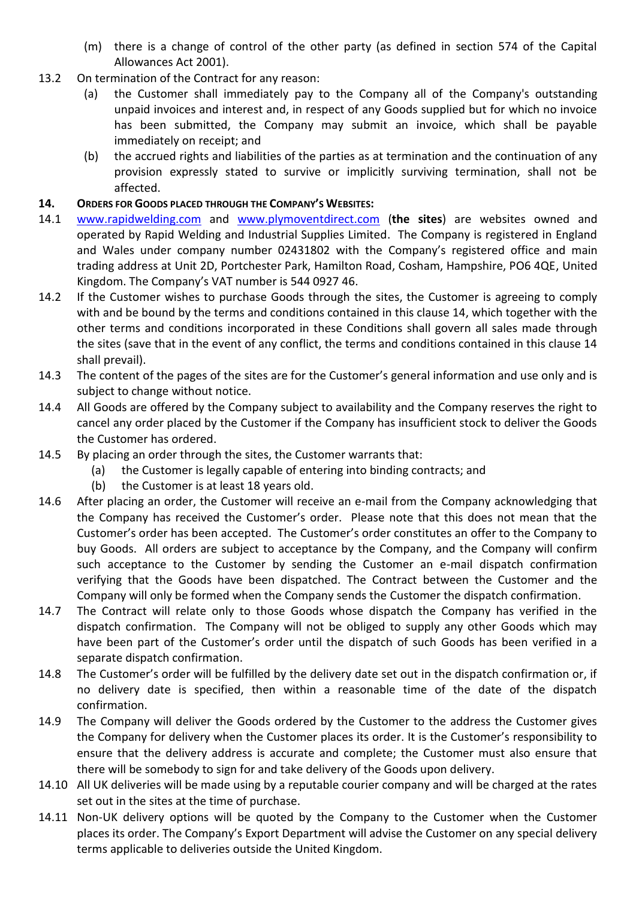- (m) there is a change of control of the other party (as defined in section 574 of the Capital Allowances Act 2001).
- 13.2 On termination of the Contract for any reason:
	- (a) the Customer shall immediately pay to the Company all of the Company's outstanding unpaid invoices and interest and, in respect of any Goods supplied but for which no invoice has been submitted, the Company may submit an invoice, which shall be payable immediately on receipt; and
	- (b) the accrued rights and liabilities of the parties as at termination and the continuation of any provision expressly stated to survive or implicitly surviving termination, shall not be affected.
- **14. ORDERS FOR GOODS PLACED THROUGH THE COMPANY'S WEBSITES:**
- 14.1 [www.rapidwelding.com](http://www.rapidwelding.com/) and [www.plymoventdirect.com](http://www.plymoventdirect.com/) (**the sites**) are websites owned and operated by Rapid Welding and Industrial Supplies Limited. The Company is registered in England and Wales under company number 02431802 with the Company's registered office and main trading address at Unit 2D, Portchester Park, Hamilton Road, Cosham, Hampshire, PO6 4QE, United Kingdom. The Company's VAT number is 544 0927 46.
- 14.2 If the Customer wishes to purchase Goods through the sites, the Customer is agreeing to comply with and be bound by the terms and conditions contained in this clause 14, which together with the other terms and conditions incorporated in these Conditions shall govern all sales made through the sites (save that in the event of any conflict, the terms and conditions contained in this clause 14 shall prevail).
- 14.3 The content of the pages of the sites are for the Customer's general information and use only and is subject to change without notice.
- 14.4 All Goods are offered by the Company subject to availability and the Company reserves the right to cancel any order placed by the Customer if the Company has insufficient stock to deliver the Goods the Customer has ordered.
- 14.5 By placing an order through the sites, the Customer warrants that:
	- (a) the Customer is legally capable of entering into binding contracts; and
	- (b) the Customer is at least 18 years old.
- 14.6 After placing an order, the Customer will receive an e-mail from the Company acknowledging that the Company has received the Customer's order. Please note that this does not mean that the Customer's order has been accepted. The Customer's order constitutes an offer to the Company to buy Goods. All orders are subject to acceptance by the Company, and the Company will confirm such acceptance to the Customer by sending the Customer an e-mail dispatch confirmation verifying that the Goods have been dispatched. The Contract between the Customer and the Company will only be formed when the Company sends the Customer the dispatch confirmation.
- 14.7 The Contract will relate only to those Goods whose dispatch the Company has verified in the dispatch confirmation. The Company will not be obliged to supply any other Goods which may have been part of the Customer's order until the dispatch of such Goods has been verified in a separate dispatch confirmation.
- 14.8 The Customer's order will be fulfilled by the delivery date set out in the dispatch confirmation or, if no delivery date is specified, then within a reasonable time of the date of the dispatch confirmation.
- 14.9 The Company will deliver the Goods ordered by the Customer to the address the Customer gives the Company for delivery when the Customer places its order. It is the Customer's responsibility to ensure that the delivery address is accurate and complete; the Customer must also ensure that there will be somebody to sign for and take delivery of the Goods upon delivery.
- 14.10 All UK deliveries will be made using by a reputable courier company and will be charged at the rates set out in the sites at the time of purchase.
- 14.11 Non-UK delivery options will be quoted by the Company to the Customer when the Customer places its order. The Company's Export Department will advise the Customer on any special delivery terms applicable to deliveries outside the United Kingdom.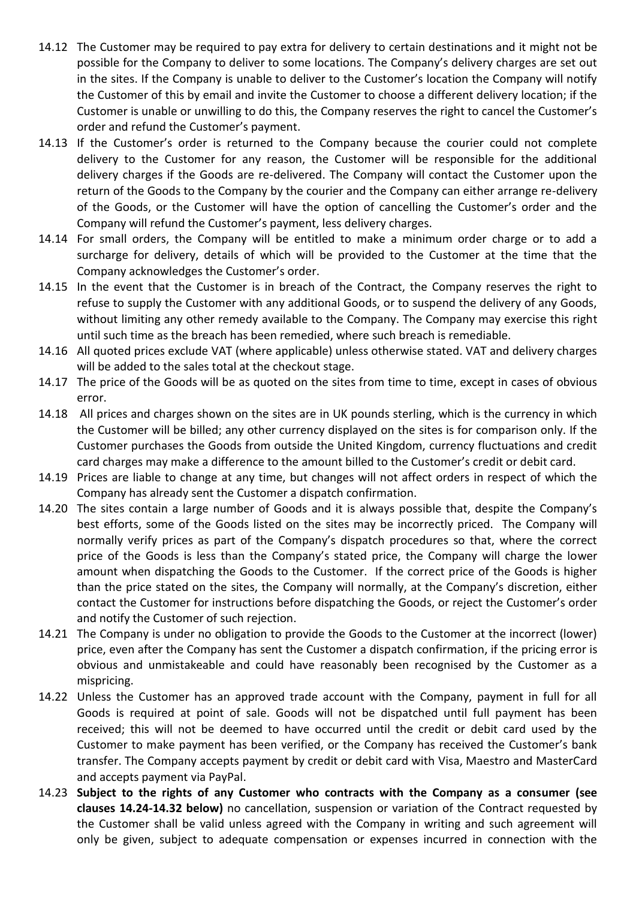- 14.12 The Customer may be required to pay extra for delivery to certain destinations and it might not be possible for the Company to deliver to some locations. The Company's delivery charges are set out in the sites. If the Company is unable to deliver to the Customer's location the Company will notify the Customer of this by email and invite the Customer to choose a different delivery location; if the Customer is unable or unwilling to do this, the Company reserves the right to cancel the Customer's order and refund the Customer's payment.
- 14.13 If the Customer's order is returned to the Company because the courier could not complete delivery to the Customer for any reason, the Customer will be responsible for the additional delivery charges if the Goods are re-delivered. The Company will contact the Customer upon the return of the Goods to the Company by the courier and the Company can either arrange re-delivery of the Goods, or the Customer will have the option of cancelling the Customer's order and the Company will refund the Customer's payment, less delivery charges.
- 14.14 For small orders, the Company will be entitled to make a minimum order charge or to add a surcharge for delivery, details of which will be provided to the Customer at the time that the Company acknowledges the Customer's order.
- 14.15 In the event that the Customer is in breach of the Contract, the Company reserves the right to refuse to supply the Customer with any additional Goods, or to suspend the delivery of any Goods, without limiting any other remedy available to the Company. The Company may exercise this right until such time as the breach has been remedied, where such breach is remediable.
- 14.16 All quoted prices exclude VAT (where applicable) unless otherwise stated. VAT and delivery charges will be added to the sales total at the checkout stage.
- 14.17 The price of the Goods will be as quoted on the sites from time to time, except in cases of obvious error.
- 14.18 All prices and charges shown on the sites are in UK pounds sterling, which is the currency in which the Customer will be billed; any other currency displayed on the sites is for comparison only. If the Customer purchases the Goods from outside the United Kingdom, currency fluctuations and credit card charges may make a difference to the amount billed to the Customer's credit or debit card.
- 14.19 Prices are liable to change at any time, but changes will not affect orders in respect of which the Company has already sent the Customer a dispatch confirmation.
- 14.20 The sites contain a large number of Goods and it is always possible that, despite the Company's best efforts, some of the Goods listed on the sites may be incorrectly priced. The Company will normally verify prices as part of the Company's dispatch procedures so that, where the correct price of the Goods is less than the Company's stated price, the Company will charge the lower amount when dispatching the Goods to the Customer. If the correct price of the Goods is higher than the price stated on the sites, the Company will normally, at the Company's discretion, either contact the Customer for instructions before dispatching the Goods, or reject the Customer's order and notify the Customer of such rejection.
- 14.21 The Company is under no obligation to provide the Goods to the Customer at the incorrect (lower) price, even after the Company has sent the Customer a dispatch confirmation, if the pricing error is obvious and unmistakeable and could have reasonably been recognised by the Customer as a mispricing.
- 14.22 Unless the Customer has an approved trade account with the Company, payment in full for all Goods is required at point of sale. Goods will not be dispatched until full payment has been received; this will not be deemed to have occurred until the credit or debit card used by the Customer to make payment has been verified, or the Company has received the Customer's bank transfer. The Company accepts payment by credit or debit card with Visa, Maestro and MasterCard and accepts payment via PayPal.
- 14.23 **Subject to the rights of any Customer who contracts with the Company as a consumer (see clauses 14.24-14.32 below)** no cancellation, suspension or variation of the Contract requested by the Customer shall be valid unless agreed with the Company in writing and such agreement will only be given, subject to adequate compensation or expenses incurred in connection with the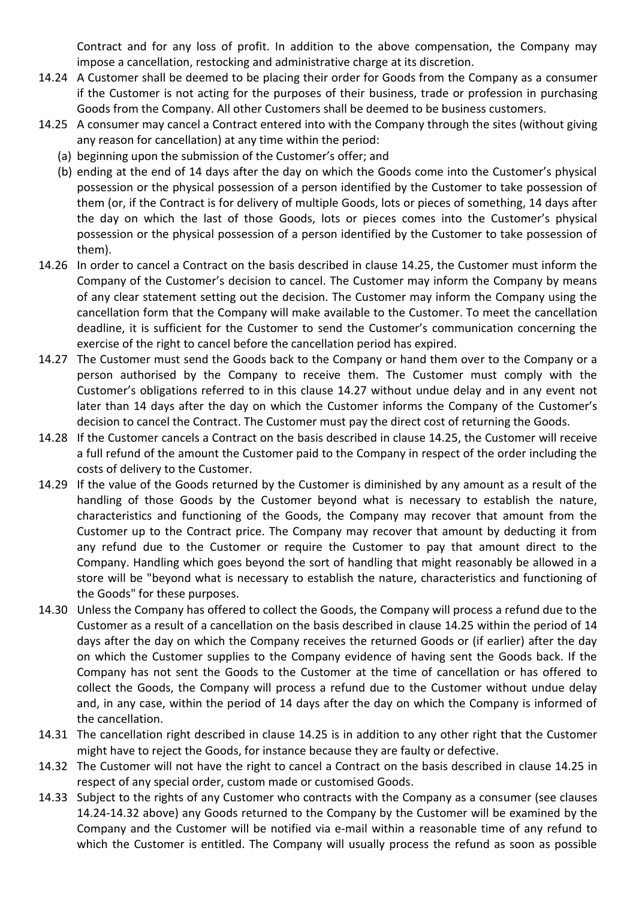Contract and for any loss of profit. In addition to the above compensation, the Company may impose a cancellation, restocking and administrative charge at its discretion.

- 14.24 A Customer shall be deemed to be placing their order for Goods from the Company as a consumer if the Customer is not acting for the purposes of their business, trade or profession in purchasing Goods from the Company. All other Customers shall be deemed to be business customers.
- 14.25 A consumer may cancel a Contract entered into with the Company through the sites (without giving any reason for cancellation) at any time within the period:
	- (a) beginning upon the submission of the Customer's offer; and
	- (b) ending at the end of 14 days after the day on which the Goods come into the Customer's physical possession or the physical possession of a person identified by the Customer to take possession of them (or, if the Contract is for delivery of multiple Goods, lots or pieces of something, 14 days after the day on which the last of those Goods, lots or pieces comes into the Customer's physical possession or the physical possession of a person identified by the Customer to take possession of them).
- 14.26 In order to cancel a Contract on the basis described in clause 14.25, the Customer must inform the Company of the Customer's decision to cancel. The Customer may inform the Company by means of any clear statement setting out the decision. The Customer may inform the Company using the cancellation form that the Company will make available to the Customer. To meet the cancellation deadline, it is sufficient for the Customer to send the Customer's communication concerning the exercise of the right to cancel before the cancellation period has expired.
- 14.27 The Customer must send the Goods back to the Company or hand them over to the Company or a person authorised by the Company to receive them. The Customer must comply with the Customer's obligations referred to in this clause 14.27 without undue delay and in any event not later than 14 days after the day on which the Customer informs the Company of the Customer's decision to cancel the Contract. The Customer must pay the direct cost of returning the Goods.
- 14.28 If the Customer cancels a Contract on the basis described in clause 14.25, the Customer will receive a full refund of the amount the Customer paid to the Company in respect of the order including the costs of delivery to the Customer.
- 14.29 If the value of the Goods returned by the Customer is diminished by any amount as a result of the handling of those Goods by the Customer beyond what is necessary to establish the nature, characteristics and functioning of the Goods, the Company may recover that amount from the Customer up to the Contract price. The Company may recover that amount by deducting it from any refund due to the Customer or require the Customer to pay that amount direct to the Company. Handling which goes beyond the sort of handling that might reasonably be allowed in a store will be "beyond what is necessary to establish the nature, characteristics and functioning of the Goods" for these purposes.
- 14.30 Unless the Company has offered to collect the Goods, the Company will process a refund due to the Customer as a result of a cancellation on the basis described in clause 14.25 within the period of 14 days after the day on which the Company receives the returned Goods or (if earlier) after the day on which the Customer supplies to the Company evidence of having sent the Goods back. If the Company has not sent the Goods to the Customer at the time of cancellation or has offered to collect the Goods, the Company will process a refund due to the Customer without undue delay and, in any case, within the period of 14 days after the day on which the Company is informed of the cancellation.
- 14.31 The cancellation right described in clause 14.25 is in addition to any other right that the Customer might have to reject the Goods, for instance because they are faulty or defective.
- 14.32 The Customer will not have the right to cancel a Contract on the basis described in clause 14.25 in respect of any special order, custom made or customised Goods.
- 14.33 Subject to the rights of any Customer who contracts with the Company as a consumer (see clauses 14.24-14.32 above) any Goods returned to the Company by the Customer will be examined by the Company and the Customer will be notified via e-mail within a reasonable time of any refund to which the Customer is entitled. The Company will usually process the refund as soon as possible